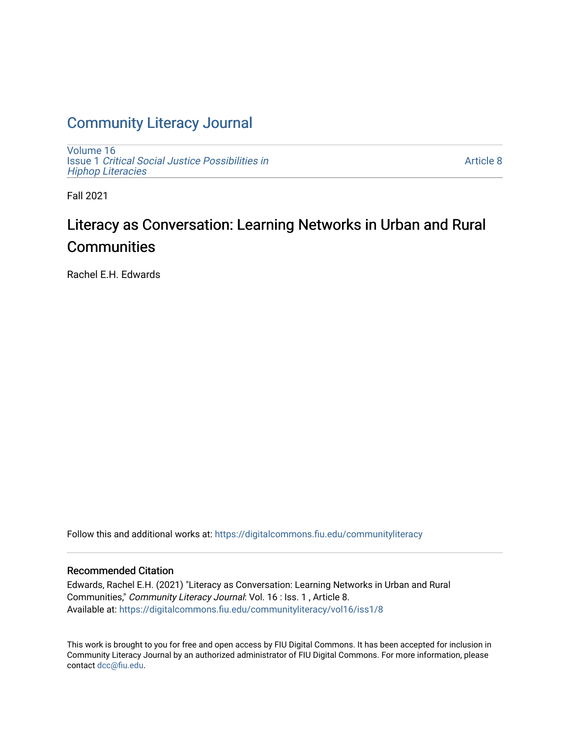## [Community Literacy Journal](https://digitalcommons.fiu.edu/communityliteracy)

[Volume 16](https://digitalcommons.fiu.edu/communityliteracy/vol16) Issue 1 [Critical Social Justice Possibilities in](https://digitalcommons.fiu.edu/communityliteracy/vol16/iss1) [Hiphop Literacies](https://digitalcommons.fiu.edu/communityliteracy/vol16/iss1)

[Article 8](https://digitalcommons.fiu.edu/communityliteracy/vol16/iss1/8) 

Fall 2021

# Literacy as Conversation: Learning Networks in Urban and Rural **Communities**

Rachel E.H. Edwards

Follow this and additional works at: [https://digitalcommons.fiu.edu/communityliteracy](https://digitalcommons.fiu.edu/communityliteracy?utm_source=digitalcommons.fiu.edu%2Fcommunityliteracy%2Fvol16%2Fiss1%2F8&utm_medium=PDF&utm_campaign=PDFCoverPages)

#### Recommended Citation

Edwards, Rachel E.H. (2021) "Literacy as Conversation: Learning Networks in Urban and Rural Communities," Community Literacy Journal: Vol. 16 : Iss. 1 , Article 8. Available at: [https://digitalcommons.fiu.edu/communityliteracy/vol16/iss1/8](https://digitalcommons.fiu.edu/communityliteracy/vol16/iss1/8?utm_source=digitalcommons.fiu.edu%2Fcommunityliteracy%2Fvol16%2Fiss1%2F8&utm_medium=PDF&utm_campaign=PDFCoverPages) 

This work is brought to you for free and open access by FIU Digital Commons. It has been accepted for inclusion in Community Literacy Journal by an authorized administrator of FIU Digital Commons. For more information, please contact [dcc@fiu.edu](mailto:dcc@fiu.edu).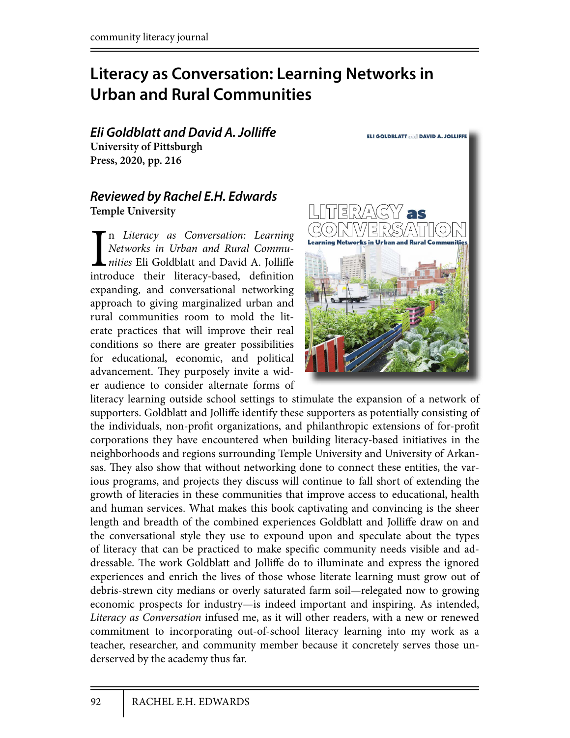# **Literacy as Conversation: Learning Networks in Urban and Rural Communities**

*Eli Goldblatt and David A. Jolli***!***e* **University of Pittsburgh Press, 2020, pp. 216**

#### *Reviewed by Rachel E.H. Edwards* **Temple University**

In Literacy as Conversation: Learning<br>Networks in Urban and Rural Commu-<br>nities Eli Goldblatt and David A. Jolliffe<br>introduce their literacy-based, definition n *Literacy as Conversation: Learning Networks in Urban and Rural Commu*nities Eli Goldblatt and David A. Jolliffe expanding, and conversational networking approach to giving marginalized urban and rural communities room to mold the literate practices that will improve their real conditions so there are greater possibilities for educational, economic, and political advancement. They purposely invite a wider audience to consider alternate forms of



literacy learning outside school settings to stimulate the expansion of a network of supporters. Goldblatt and Jolliffe identify these supporters as potentially consisting of the individuals, non-profit organizations, and philanthropic extensions of for-profit corporations they have encountered when building literacy-based initiatives in the neighborhoods and regions surrounding Temple University and University of Arkansas. They also show that without networking done to connect these entities, the various programs, and projects they discuss will continue to fall short of extending the growth of literacies in these communities that improve access to educational, health and human services. What makes this book captivating and convincing is the sheer length and breadth of the combined experiences Goldblatt and Jolliffe draw on and the conversational style they use to expound upon and speculate about the types of literacy that can be practiced to make specific community needs visible and addressable. The work Goldblatt and Jolliffe do to illuminate and express the ignored experiences and enrich the lives of those whose literate learning must grow out of debris-strewn city medians or overly saturated farm soil—relegated now to growing economic prospects for industry—is indeed important and inspiring. As intended, *Literacy as Conversation* infused me, as it will other readers, with a new or renewed commitment to incorporating out-of-school literacy learning into my work as a teacher, researcher, and community member because it concretely serves those underserved by the academy thus far.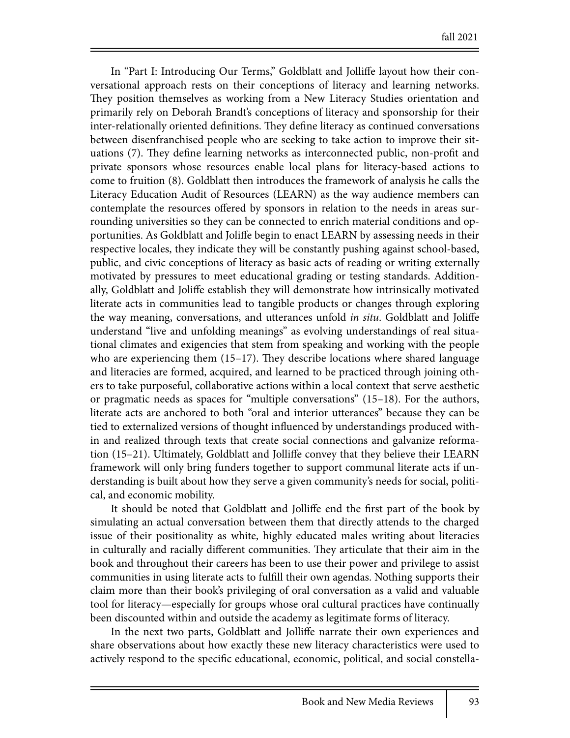In "Part I: Introducing Our Terms," Goldblatt and Jolliffe layout how their conversational approach rests on their conceptions of literacy and learning networks. They position themselves as working from a New Literacy Studies orientation and primarily rely on Deborah Brandt's conceptions of literacy and sponsorship for their inter-relationally oriented definitions. They define literacy as continued conversations between disenfranchised people who are seeking to take action to improve their situations (7). They define learning networks as interconnected public, non-profit and private sponsors whose resources enable local plans for literacy-based actions to come to fruition (8). Goldblatt then introduces the framework of analysis he calls the Literacy Education Audit of Resources (LEARN) as the way audience members can contemplate the resources offered by sponsors in relation to the needs in areas surrounding universities so they can be connected to enrich material conditions and opportunities. As Goldblatt and Joliffe begin to enact LEARN by assessing needs in their respective locales, they indicate they will be constantly pushing against school-based, public, and civic conceptions of literacy as basic acts of reading or writing externally motivated by pressures to meet educational grading or testing standards. Additionally, Goldblatt and Joliffe establish they will demonstrate how intrinsically motivated literate acts in communities lead to tangible products or changes through exploring the way meaning, conversations, and utterances unfold *in situ*. Goldblatt and Joliffe understand "live and unfolding meanings" as evolving understandings of real situational climates and exigencies that stem from speaking and working with the people who are experiencing them  $(15-17)$ . They describe locations where shared language and literacies are formed, acquired, and learned to be practiced through joining others to take purposeful, collaborative actions within a local context that serve aesthetic or pragmatic needs as spaces for "multiple conversations" (15–18). For the authors, literate acts are anchored to both "oral and interior utterances" because they can be tied to externalized versions of thought influenced by understandings produced within and realized through texts that create social connections and galvanize reformation (15–21). Ultimately, Goldblatt and Jolliffe convey that they believe their LEARN framework will only bring funders together to support communal literate acts if understanding is built about how they serve a given community's needs for social, political, and economic mobility.

It should be noted that Goldblatt and Jolliffe end the first part of the book by simulating an actual conversation between them that directly attends to the charged issue of their positionality as white, highly educated males writing about literacies in culturally and racially different communities. They articulate that their aim in the book and throughout their careers has been to use their power and privilege to assist communities in using literate acts to fulfill their own agendas. Nothing supports their claim more than their book's privileging of oral conversation as a valid and valuable tool for literacy—especially for groups whose oral cultural practices have continually been discounted within and outside the academy as legitimate forms of literacy.

In the next two parts, Goldblatt and Jolliffe narrate their own experiences and share observations about how exactly these new literacy characteristics were used to actively respond to the specific educational, economic, political, and social constella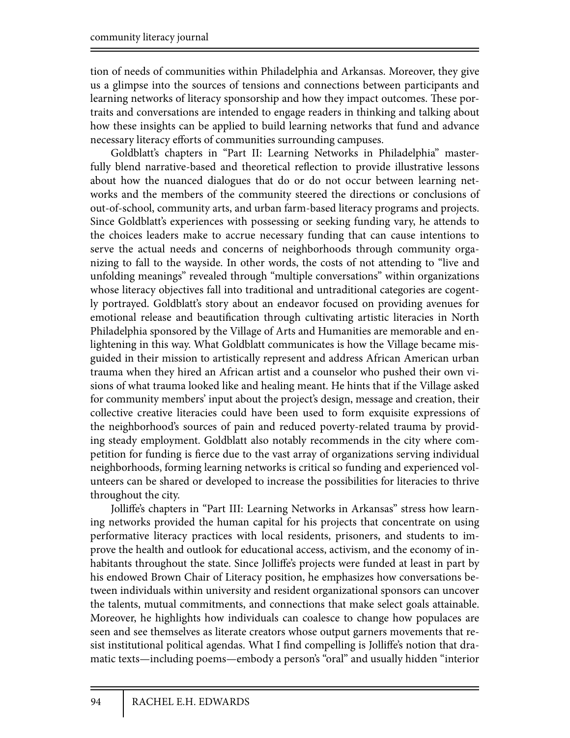tion of needs of communities within Philadelphia and Arkansas. Moreover, they give us a glimpse into the sources of tensions and connections between participants and learning networks of literacy sponsorship and how they impact outcomes. These portraits and conversations are intended to engage readers in thinking and talking about how these insights can be applied to build learning networks that fund and advance necessary literacy efforts of communities surrounding campuses.

Goldblatt's chapters in "Part II: Learning Networks in Philadelphia" masterfully blend narrative-based and theoretical reflection to provide illustrative lessons about how the nuanced dialogues that do or do not occur between learning networks and the members of the community steered the directions or conclusions of out-of-school, community arts, and urban farm-based literacy programs and projects. Since Goldblatt's experiences with possessing or seeking funding vary, he attends to the choices leaders make to accrue necessary funding that can cause intentions to serve the actual needs and concerns of neighborhoods through community organizing to fall to the wayside. In other words, the costs of not attending to "live and unfolding meanings" revealed through "multiple conversations" within organizations whose literacy objectives fall into traditional and untraditional categories are cogently portrayed. Goldblatt's story about an endeavor focused on providing avenues for emotional release and beautification through cultivating artistic literacies in North Philadelphia sponsored by the Village of Arts and Humanities are memorable and enlightening in this way. What Goldblatt communicates is how the Village became misguided in their mission to artistically represent and address African American urban trauma when they hired an African artist and a counselor who pushed their own visions of what trauma looked like and healing meant. He hints that if the Village asked for community members' input about the project's design, message and creation, their collective creative literacies could have been used to form exquisite expressions of the neighborhood's sources of pain and reduced poverty-related trauma by providing steady employment. Goldblatt also notably recommends in the city where competition for funding is fierce due to the vast array of organizations serving individual neighborhoods, forming learning networks is critical so funding and experienced volunteers can be shared or developed to increase the possibilities for literacies to thrive throughout the city.

Jolliffe's chapters in "Part III: Learning Networks in Arkansas" stress how learning networks provided the human capital for his projects that concentrate on using performative literacy practices with local residents, prisoners, and students to improve the health and outlook for educational access, activism, and the economy of inhabitants throughout the state. Since Jolliffe's projects were funded at least in part by his endowed Brown Chair of Literacy position, he emphasizes how conversations between individuals within university and resident organizational sponsors can uncover the talents, mutual commitments, and connections that make select goals attainable. Moreover, he highlights how individuals can coalesce to change how populaces are seen and see themselves as literate creators whose output garners movements that resist institutional political agendas. What I find compelling is Jolliffe's notion that dramatic texts—including poems—embody a person's "oral" and usually hidden "interior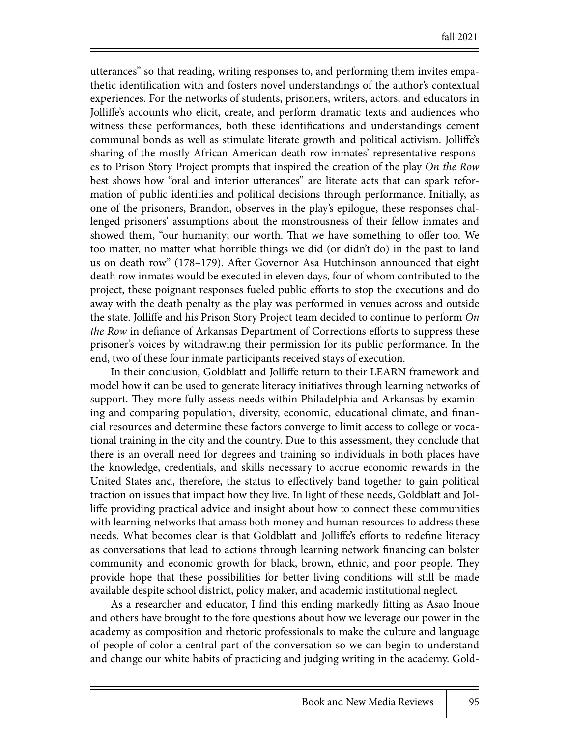utterances" so that reading, writing responses to, and performing them invites empathetic identification with and fosters novel understandings of the author's contextual experiences. For the networks of students, prisoners, writers, actors, and educators in Jolliffe's accounts who elicit, create, and perform dramatic texts and audiences who witness these performances, both these identifications and understandings cement communal bonds as well as stimulate literate growth and political activism. Jolliffe's sharing of the mostly African American death row inmates' representative responses to Prison Story Project prompts that inspired the creation of the play *On the Row* best shows how "oral and interior utterances" are literate acts that can spark reformation of public identities and political decisions through performance. Initially, as one of the prisoners, Brandon, observes in the play's epilogue, these responses challenged prisoners' assumptions about the monstrousness of their fellow inmates and showed them, "our humanity; our worth. That we have something to offer too. We too matter, no matter what horrible things we did (or didn't do) in the past to land us on death row" (178–179). After Governor Asa Hutchinson announced that eight death row inmates would be executed in eleven days, four of whom contributed to the project, these poignant responses fueled public efforts to stop the executions and do away with the death penalty as the play was performed in venues across and outside the state. Jolliffe and his Prison Story Project team decided to continue to perform *On the Row* in defiance of Arkansas Department of Corrections efforts to suppress these prisoner's voices by withdrawing their permission for its public performance*.* In the end, two of these four inmate participants received stays of execution.

In their conclusion, Goldblatt and Jolliffe return to their LEARN framework and model how it can be used to generate literacy initiatives through learning networks of support. They more fully assess needs within Philadelphia and Arkansas by examining and comparing population, diversity, economic, educational climate, and financial resources and determine these factors converge to limit access to college or vocational training in the city and the country. Due to this assessment, they conclude that there is an overall need for degrees and training so individuals in both places have the knowledge, credentials, and skills necessary to accrue economic rewards in the United States and, therefore, the status to effectively band together to gain political traction on issues that impact how they live. In light of these needs, Goldblatt and Jolliffe providing practical advice and insight about how to connect these communities with learning networks that amass both money and human resources to address these needs. What becomes clear is that Goldblatt and Jolliffe's efforts to redefine literacy as conversations that lead to actions through learning network financing can bolster community and economic growth for black, brown, ethnic, and poor people. They provide hope that these possibilities for better living conditions will still be made available despite school district, policy maker, and academic institutional neglect.

As a researcher and educator, I find this ending markedly fitting as Asao Inoue and others have brought to the fore questions about how we leverage our power in the academy as composition and rhetoric professionals to make the culture and language of people of color a central part of the conversation so we can begin to understand and change our white habits of practicing and judging writing in the academy. Gold